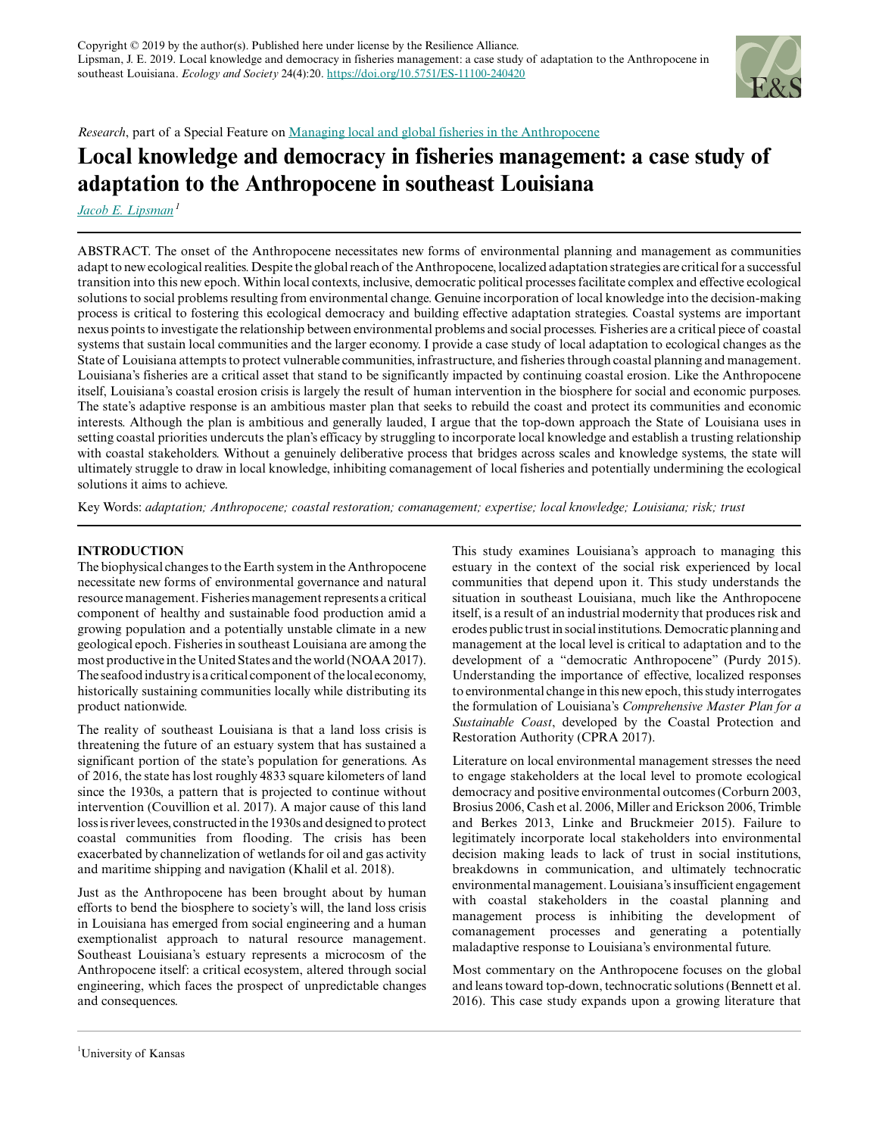

*Research*, part of a Special Feature on [Managing local and global fisheries in the Anthropocene](https://www.ecologyandsociety.org/viewissue.php?sf=137)

# **Local knowledge and democracy in fisheries management: a case study of adaptation to the Anthropocene in southeast Louisiana**

*[Jacob E. Lipsman](mailto:jlipsman@ku.edu)<sup>1</sup>*

ABSTRACT. The onset of the Anthropocene necessitates new forms of environmental planning and management as communities adapt to new ecological realities. Despite the global reach of the Anthropocene, localized adaptation strategies are critical for a successful transition into this new epoch. Within local contexts, inclusive, democratic political processes facilitate complex and effective ecological solutions to social problems resulting from environmental change. Genuine incorporation of local knowledge into the decision-making process is critical to fostering this ecological democracy and building effective adaptation strategies. Coastal systems are important nexus points to investigate the relationship between environmental problems and social processes. Fisheries are a critical piece of coastal systems that sustain local communities and the larger economy. I provide a case study of local adaptation to ecological changes as the State of Louisiana attempts to protect vulnerable communities, infrastructure, and fisheries through coastal planning and management. Louisiana's fisheries are a critical asset that stand to be significantly impacted by continuing coastal erosion. Like the Anthropocene itself, Louisiana's coastal erosion crisis is largely the result of human intervention in the biosphere for social and economic purposes. The state's adaptive response is an ambitious master plan that seeks to rebuild the coast and protect its communities and economic interests. Although the plan is ambitious and generally lauded, I argue that the top-down approach the State of Louisiana uses in setting coastal priorities undercuts the plan's efficacy by struggling to incorporate local knowledge and establish a trusting relationship with coastal stakeholders. Without a genuinely deliberative process that bridges across scales and knowledge systems, the state will ultimately struggle to draw in local knowledge, inhibiting comanagement of local fisheries and potentially undermining the ecological solutions it aims to achieve.

Key Words: *adaptation; Anthropocene; coastal restoration; comanagement; expertise; local knowledge; Louisiana; risk; trust*

# **INTRODUCTION**

The biophysical changes to the Earth system in the Anthropocene necessitate new forms of environmental governance and natural resource management. Fisheries management represents a critical component of healthy and sustainable food production amid a growing population and a potentially unstable climate in a new geological epoch. Fisheries in southeast Louisiana are among the most productive in the United States and the world (NOAA 2017). The seafood industry is a critical component of the local economy, historically sustaining communities locally while distributing its product nationwide.

The reality of southeast Louisiana is that a land loss crisis is threatening the future of an estuary system that has sustained a significant portion of the state's population for generations. As of 2016, the state has lost roughly 4833 square kilometers of land since the 1930s, a pattern that is projected to continue without intervention (Couvillion et al. 2017). A major cause of this land loss is river levees, constructed in the 1930s and designed to protect coastal communities from flooding. The crisis has been exacerbated by channelization of wetlands for oil and gas activity and maritime shipping and navigation (Khalil et al. 2018).

Just as the Anthropocene has been brought about by human efforts to bend the biosphere to society's will, the land loss crisis in Louisiana has emerged from social engineering and a human exemptionalist approach to natural resource management. Southeast Louisiana's estuary represents a microcosm of the Anthropocene itself: a critical ecosystem, altered through social engineering, which faces the prospect of unpredictable changes and consequences.

This study examines Louisiana's approach to managing this estuary in the context of the social risk experienced by local communities that depend upon it. This study understands the situation in southeast Louisiana, much like the Anthropocene itself, is a result of an industrial modernity that produces risk and erodes public trust in social institutions. Democratic planning and management at the local level is critical to adaptation and to the development of a "democratic Anthropocene" (Purdy 2015). Understanding the importance of effective, localized responses to environmental change in this new epoch, this study interrogates the formulation of Louisiana's *Comprehensive Master Plan for a Sustainable Coast*, developed by the Coastal Protection and Restoration Authority (CPRA 2017).

Literature on local environmental management stresses the need to engage stakeholders at the local level to promote ecological democracy and positive environmental outcomes (Corburn 2003, Brosius 2006, Cash et al. 2006, Miller and Erickson 2006, Trimble and Berkes 2013, Linke and Bruckmeier 2015). Failure to legitimately incorporate local stakeholders into environmental decision making leads to lack of trust in social institutions, breakdowns in communication, and ultimately technocratic environmental management. Louisiana's insufficient engagement with coastal stakeholders in the coastal planning and management process is inhibiting the development of comanagement processes and generating a potentially maladaptive response to Louisiana's environmental future.

Most commentary on the Anthropocene focuses on the global and leans toward top-down, technocratic solutions (Bennett et al. 2016). This case study expands upon a growing literature that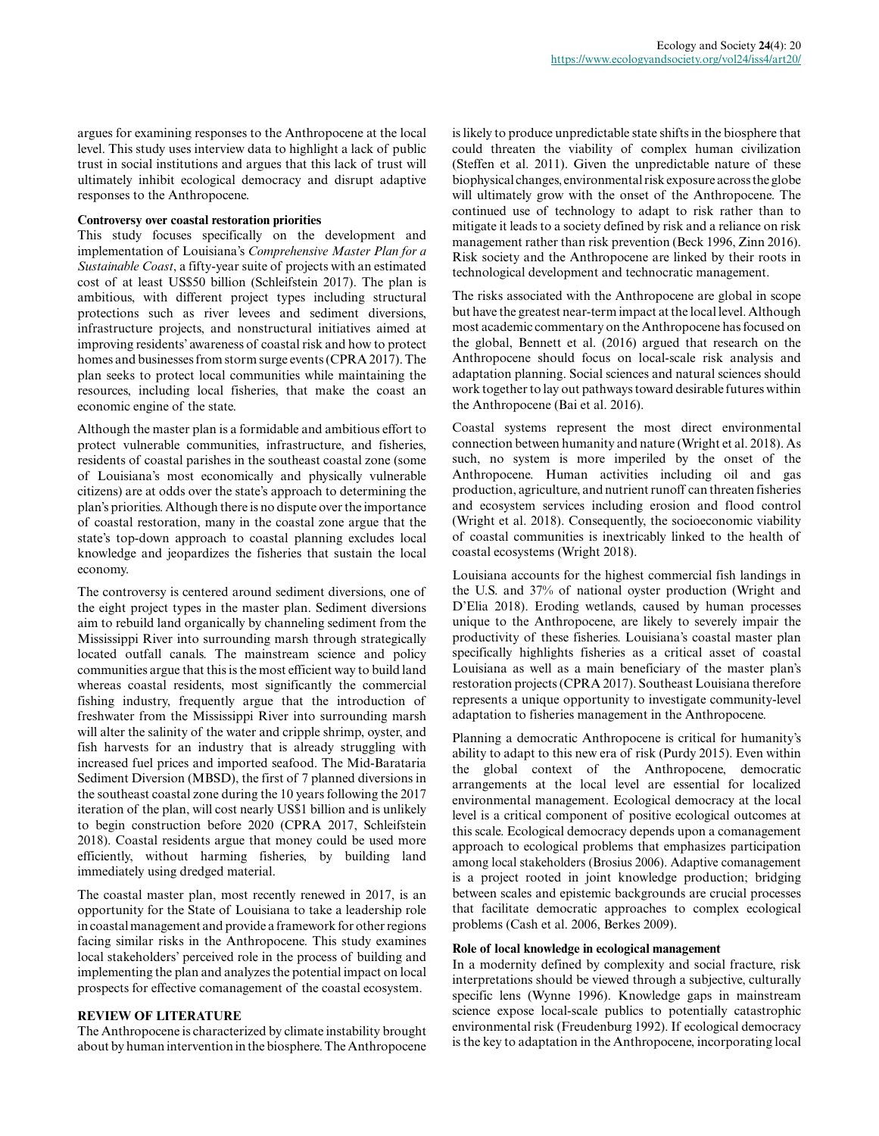argues for examining responses to the Anthropocene at the local level. This study uses interview data to highlight a lack of public trust in social institutions and argues that this lack of trust will ultimately inhibit ecological democracy and disrupt adaptive responses to the Anthropocene.

## **Controversy over coastal restoration priorities**

This study focuses specifically on the development and implementation of Louisiana's *Comprehensive Master Plan for a Sustainable Coast*, a fifty-year suite of projects with an estimated cost of at least US\$50 billion (Schleifstein 2017). The plan is ambitious, with different project types including structural protections such as river levees and sediment diversions, infrastructure projects, and nonstructural initiatives aimed at improving residents' awareness of coastal risk and how to protect homes and businesses from storm surge events (CPRA 2017). The plan seeks to protect local communities while maintaining the resources, including local fisheries, that make the coast an economic engine of the state.

Although the master plan is a formidable and ambitious effort to protect vulnerable communities, infrastructure, and fisheries, residents of coastal parishes in the southeast coastal zone (some of Louisiana's most economically and physically vulnerable citizens) are at odds over the state's approach to determining the plan's priorities. Although there is no dispute over the importance of coastal restoration, many in the coastal zone argue that the state's top-down approach to coastal planning excludes local knowledge and jeopardizes the fisheries that sustain the local economy.

The controversy is centered around sediment diversions, one of the eight project types in the master plan. Sediment diversions aim to rebuild land organically by channeling sediment from the Mississippi River into surrounding marsh through strategically located outfall canals. The mainstream science and policy communities argue that this is the most efficient way to build land whereas coastal residents, most significantly the commercial fishing industry, frequently argue that the introduction of freshwater from the Mississippi River into surrounding marsh will alter the salinity of the water and cripple shrimp, oyster, and fish harvests for an industry that is already struggling with increased fuel prices and imported seafood. The Mid-Barataria Sediment Diversion (MBSD), the first of 7 planned diversions in the southeast coastal zone during the 10 years following the 2017 iteration of the plan, will cost nearly US\$1 billion and is unlikely to begin construction before 2020 (CPRA 2017, Schleifstein 2018). Coastal residents argue that money could be used more efficiently, without harming fisheries, by building land immediately using dredged material.

The coastal master plan, most recently renewed in 2017, is an opportunity for the State of Louisiana to take a leadership role in coastal management and provide a framework for other regions facing similar risks in the Anthropocene. This study examines local stakeholders' perceived role in the process of building and implementing the plan and analyzes the potential impact on local prospects for effective comanagement of the coastal ecosystem.

#### **REVIEW OF LITERATURE**

The Anthropocene is characterized by climate instability brought about by human intervention in the biosphere. The Anthropocene

is likely to produce unpredictable state shifts in the biosphere that could threaten the viability of complex human civilization (Steffen et al. 2011). Given the unpredictable nature of these biophysical changes, environmental risk exposure across the globe will ultimately grow with the onset of the Anthropocene. The continued use of technology to adapt to risk rather than to mitigate it leads to a society defined by risk and a reliance on risk management rather than risk prevention (Beck 1996, Zinn 2016). Risk society and the Anthropocene are linked by their roots in technological development and technocratic management.

The risks associated with the Anthropocene are global in scope but have the greatest near-term impact at the local level. Although most academic commentary on the Anthropocene has focused on the global, Bennett et al. (2016) argued that research on the Anthropocene should focus on local-scale risk analysis and adaptation planning. Social sciences and natural sciences should work together to lay out pathways toward desirable futures within the Anthropocene (Bai et al. 2016).

Coastal systems represent the most direct environmental connection between humanity and nature (Wright et al. 2018). As such, no system is more imperiled by the onset of the Anthropocene. Human activities including oil and gas production, agriculture, and nutrient runoff can threaten fisheries and ecosystem services including erosion and flood control (Wright et al. 2018). Consequently, the socioeconomic viability of coastal communities is inextricably linked to the health of coastal ecosystems (Wright 2018).

Louisiana accounts for the highest commercial fish landings in the U.S. and 37% of national oyster production (Wright and D'Elia 2018). Eroding wetlands, caused by human processes unique to the Anthropocene, are likely to severely impair the productivity of these fisheries. Louisiana's coastal master plan specifically highlights fisheries as a critical asset of coastal Louisiana as well as a main beneficiary of the master plan's restoration projects (CPRA 2017). Southeast Louisiana therefore represents a unique opportunity to investigate community-level adaptation to fisheries management in the Anthropocene.

Planning a democratic Anthropocene is critical for humanity's ability to adapt to this new era of risk (Purdy 2015). Even within the global context of the Anthropocene, democratic arrangements at the local level are essential for localized environmental management. Ecological democracy at the local level is a critical component of positive ecological outcomes at this scale. Ecological democracy depends upon a comanagement approach to ecological problems that emphasizes participation among local stakeholders (Brosius 2006). Adaptive comanagement is a project rooted in joint knowledge production; bridging between scales and epistemic backgrounds are crucial processes that facilitate democratic approaches to complex ecological problems (Cash et al. 2006, Berkes 2009).

#### **Role of local knowledge in ecological management**

In a modernity defined by complexity and social fracture, risk interpretations should be viewed through a subjective, culturally specific lens (Wynne 1996). Knowledge gaps in mainstream science expose local-scale publics to potentially catastrophic environmental risk (Freudenburg 1992). If ecological democracy is the key to adaptation in the Anthropocene, incorporating local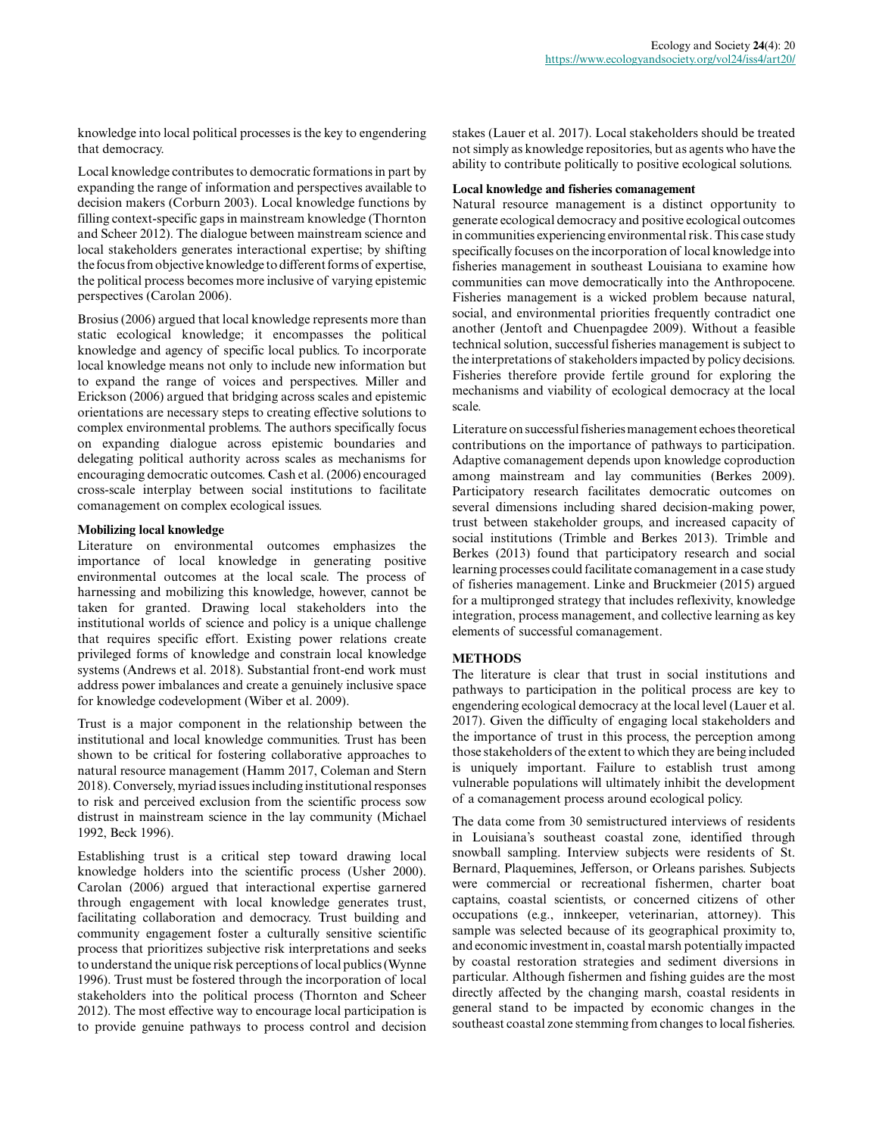knowledge into local political processes is the key to engendering that democracy.

Local knowledge contributes to democratic formations in part by expanding the range of information and perspectives available to decision makers (Corburn 2003). Local knowledge functions by filling context-specific gaps in mainstream knowledge (Thornton and Scheer 2012). The dialogue between mainstream science and local stakeholders generates interactional expertise; by shifting the focus from objective knowledge to different forms of expertise, the political process becomes more inclusive of varying epistemic perspectives (Carolan 2006).

Brosius (2006) argued that local knowledge represents more than static ecological knowledge; it encompasses the political knowledge and agency of specific local publics. To incorporate local knowledge means not only to include new information but to expand the range of voices and perspectives. Miller and Erickson (2006) argued that bridging across scales and epistemic orientations are necessary steps to creating effective solutions to complex environmental problems. The authors specifically focus on expanding dialogue across epistemic boundaries and delegating political authority across scales as mechanisms for encouraging democratic outcomes. Cash et al. (2006) encouraged cross-scale interplay between social institutions to facilitate comanagement on complex ecological issues.

#### **Mobilizing local knowledge**

Literature on environmental outcomes emphasizes the importance of local knowledge in generating positive environmental outcomes at the local scale. The process of harnessing and mobilizing this knowledge, however, cannot be taken for granted. Drawing local stakeholders into the institutional worlds of science and policy is a unique challenge that requires specific effort. Existing power relations create privileged forms of knowledge and constrain local knowledge systems (Andrews et al. 2018). Substantial front-end work must address power imbalances and create a genuinely inclusive space for knowledge codevelopment (Wiber et al. 2009).

Trust is a major component in the relationship between the institutional and local knowledge communities. Trust has been shown to be critical for fostering collaborative approaches to natural resource management (Hamm 2017, Coleman and Stern 2018). Conversely, myriad issues including institutional responses to risk and perceived exclusion from the scientific process sow distrust in mainstream science in the lay community (Michael 1992, Beck 1996).

Establishing trust is a critical step toward drawing local knowledge holders into the scientific process (Usher 2000). Carolan (2006) argued that interactional expertise garnered through engagement with local knowledge generates trust, facilitating collaboration and democracy. Trust building and community engagement foster a culturally sensitive scientific process that prioritizes subjective risk interpretations and seeks to understand the unique risk perceptions of local publics (Wynne 1996). Trust must be fostered through the incorporation of local stakeholders into the political process (Thornton and Scheer 2012). The most effective way to encourage local participation is to provide genuine pathways to process control and decision

stakes (Lauer et al. 2017). Local stakeholders should be treated not simply as knowledge repositories, but as agents who have the ability to contribute politically to positive ecological solutions.

# **Local knowledge and fisheries comanagement**

Natural resource management is a distinct opportunity to generate ecological democracy and positive ecological outcomes in communities experiencing environmental risk. This case study specifically focuses on the incorporation of local knowledge into fisheries management in southeast Louisiana to examine how communities can move democratically into the Anthropocene. Fisheries management is a wicked problem because natural, social, and environmental priorities frequently contradict one another (Jentoft and Chuenpagdee 2009). Without a feasible technical solution, successful fisheries management is subject to the interpretations of stakeholders impacted by policy decisions. Fisheries therefore provide fertile ground for exploring the mechanisms and viability of ecological democracy at the local scale.

Literature on successful fisheries management echoes theoretical contributions on the importance of pathways to participation. Adaptive comanagement depends upon knowledge coproduction among mainstream and lay communities (Berkes 2009). Participatory research facilitates democratic outcomes on several dimensions including shared decision-making power, trust between stakeholder groups, and increased capacity of social institutions (Trimble and Berkes 2013). Trimble and Berkes (2013) found that participatory research and social learning processes could facilitate comanagement in a case study of fisheries management. Linke and Bruckmeier (2015) argued for a multipronged strategy that includes reflexivity, knowledge integration, process management, and collective learning as key elements of successful comanagement.

# **METHODS**

The literature is clear that trust in social institutions and pathways to participation in the political process are key to engendering ecological democracy at the local level (Lauer et al. 2017). Given the difficulty of engaging local stakeholders and the importance of trust in this process, the perception among those stakeholders of the extent to which they are being included is uniquely important. Failure to establish trust among vulnerable populations will ultimately inhibit the development of a comanagement process around ecological policy.

The data come from 30 semistructured interviews of residents in Louisiana's southeast coastal zone, identified through snowball sampling. Interview subjects were residents of St. Bernard, Plaquemines, Jefferson, or Orleans parishes. Subjects were commercial or recreational fishermen, charter boat captains, coastal scientists, or concerned citizens of other occupations (e.g., innkeeper, veterinarian, attorney). This sample was selected because of its geographical proximity to, and economic investment in, coastal marsh potentially impacted by coastal restoration strategies and sediment diversions in particular. Although fishermen and fishing guides are the most directly affected by the changing marsh, coastal residents in general stand to be impacted by economic changes in the southeast coastal zone stemming from changes to local fisheries.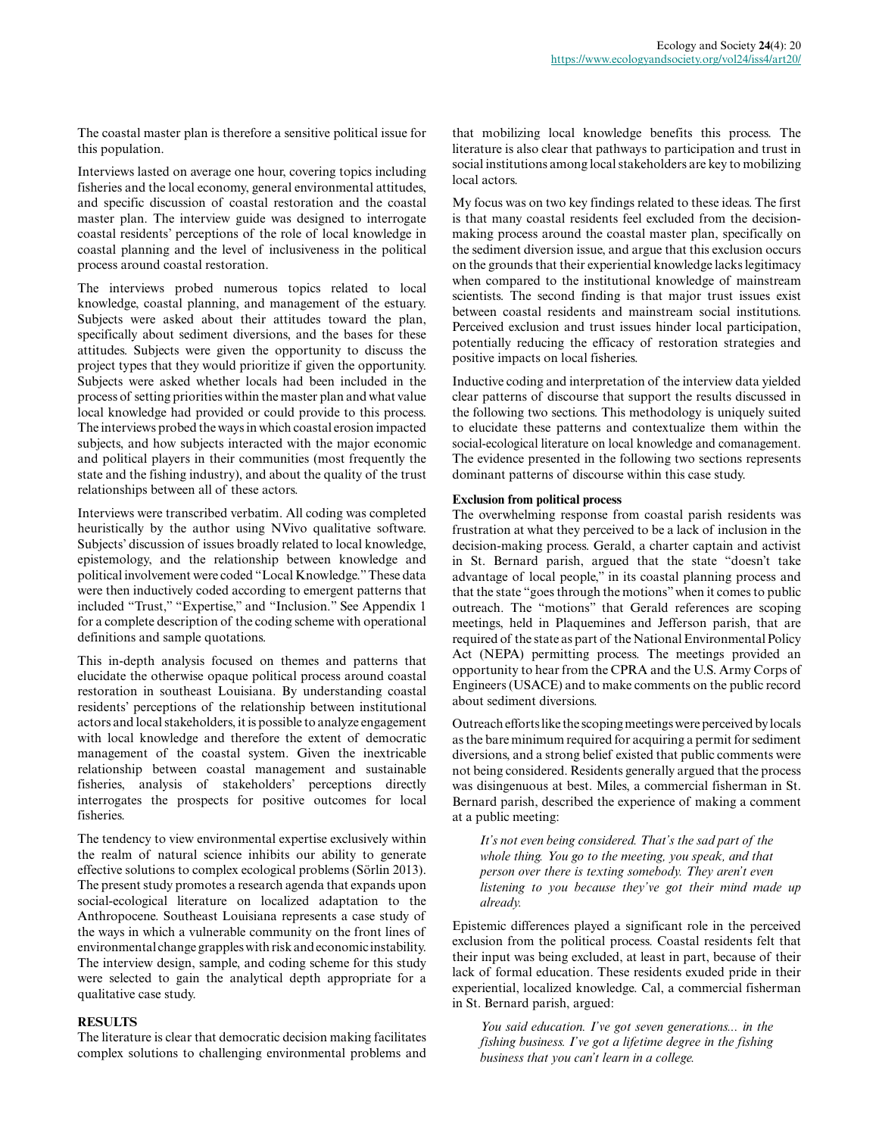The coastal master plan is therefore a sensitive political issue for this population.

Interviews lasted on average one hour, covering topics including fisheries and the local economy, general environmental attitudes, and specific discussion of coastal restoration and the coastal master plan. The interview guide was designed to interrogate coastal residents' perceptions of the role of local knowledge in coastal planning and the level of inclusiveness in the political process around coastal restoration.

The interviews probed numerous topics related to local knowledge, coastal planning, and management of the estuary. Subjects were asked about their attitudes toward the plan, specifically about sediment diversions, and the bases for these attitudes. Subjects were given the opportunity to discuss the project types that they would prioritize if given the opportunity. Subjects were asked whether locals had been included in the process of setting priorities within the master plan and what value local knowledge had provided or could provide to this process. The interviews probed the ways in which coastal erosion impacted subjects, and how subjects interacted with the major economic and political players in their communities (most frequently the state and the fishing industry), and about the quality of the trust relationships between all of these actors.

Interviews were transcribed verbatim. All coding was completed heuristically by the author using NVivo qualitative software. Subjects' discussion of issues broadly related to local knowledge, epistemology, and the relationship between knowledge and political involvement were coded "Local Knowledge." These data were then inductively coded according to emergent patterns that included "Trust," "Expertise," and "Inclusion." See Appendix 1 for a complete description of the coding scheme with operational definitions and sample quotations.

This in-depth analysis focused on themes and patterns that elucidate the otherwise opaque political process around coastal restoration in southeast Louisiana. By understanding coastal residents' perceptions of the relationship between institutional actors and local stakeholders, it is possible to analyze engagement with local knowledge and therefore the extent of democratic management of the coastal system. Given the inextricable relationship between coastal management and sustainable fisheries, analysis of stakeholders' perceptions directly interrogates the prospects for positive outcomes for local fisheries.

The tendency to view environmental expertise exclusively within the realm of natural science inhibits our ability to generate effective solutions to complex ecological problems (Sörlin 2013). The present study promotes a research agenda that expands upon social-ecological literature on localized adaptation to the Anthropocene. Southeast Louisiana represents a case study of the ways in which a vulnerable community on the front lines of environmental change grapples with risk and economic instability. The interview design, sample, and coding scheme for this study were selected to gain the analytical depth appropriate for a qualitative case study.

#### **RESULTS**

The literature is clear that democratic decision making facilitates complex solutions to challenging environmental problems and that mobilizing local knowledge benefits this process. The literature is also clear that pathways to participation and trust in social institutions among local stakeholders are key to mobilizing local actors.

My focus was on two key findings related to these ideas. The first is that many coastal residents feel excluded from the decisionmaking process around the coastal master plan, specifically on the sediment diversion issue, and argue that this exclusion occurs on the grounds that their experiential knowledge lacks legitimacy when compared to the institutional knowledge of mainstream scientists. The second finding is that major trust issues exist between coastal residents and mainstream social institutions. Perceived exclusion and trust issues hinder local participation, potentially reducing the efficacy of restoration strategies and positive impacts on local fisheries.

Inductive coding and interpretation of the interview data yielded clear patterns of discourse that support the results discussed in the following two sections. This methodology is uniquely suited to elucidate these patterns and contextualize them within the social-ecological literature on local knowledge and comanagement. The evidence presented in the following two sections represents dominant patterns of discourse within this case study.

## **Exclusion from political process**

The overwhelming response from coastal parish residents was frustration at what they perceived to be a lack of inclusion in the decision-making process. Gerald, a charter captain and activist in St. Bernard parish, argued that the state "doesn't take advantage of local people," in its coastal planning process and that the state "goes through the motions" when it comes to public outreach. The "motions" that Gerald references are scoping meetings, held in Plaquemines and Jefferson parish, that are required of the state as part of the National Environmental Policy Act (NEPA) permitting process. The meetings provided an opportunity to hear from the CPRA and the U.S. Army Corps of Engineers (USACE) and to make comments on the public record about sediment diversions.

Outreach efforts like the scoping meetings were perceived by locals as the bare minimum required for acquiring a permit for sediment diversions, and a strong belief existed that public comments were not being considered. Residents generally argued that the process was disingenuous at best. Miles, a commercial fisherman in St. Bernard parish, described the experience of making a comment at a public meeting:

*It's not even being considered. That's the sad part of the whole thing. You go to the meeting, you speak, and that person over there is texting somebody. They aren't even listening to you because they've got their mind made up already.*

Epistemic differences played a significant role in the perceived exclusion from the political process. Coastal residents felt that their input was being excluded, at least in part, because of their lack of formal education. These residents exuded pride in their experiential, localized knowledge. Cal, a commercial fisherman in St. Bernard parish, argued:

*You said education. I've got seven generations... in the fishing business. I've got a lifetime degree in the fishing business that you can't learn in a college.*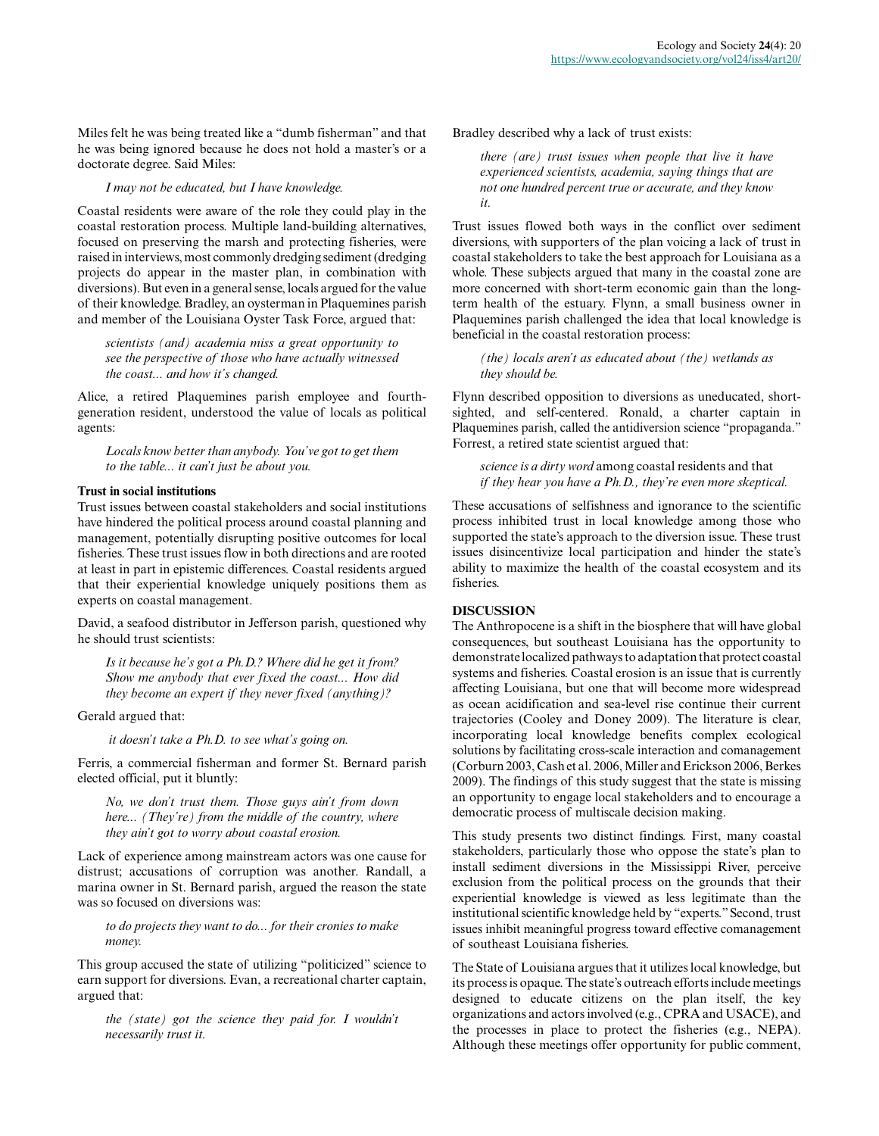Miles felt he was being treated like a "dumb fisherman" and that he was being ignored because he does not hold a master's or a doctorate degree. Said Miles:

*I may not be educated, but I have knowledge.*

Coastal residents were aware of the role they could play in the coastal restoration process. Multiple land-building alternatives, focused on preserving the marsh and protecting fisheries, were raised in interviews, most commonly dredging sediment (dredging projects do appear in the master plan, in combination with diversions). But even in a general sense, locals argued for the value of their knowledge. Bradley, an oysterman in Plaquemines parish and member of the Louisiana Oyster Task Force, argued that:

*scientists (and) academia miss a great opportunity to see the perspective of those who have actually witnessed the coast... and how it's changed.*

Alice, a retired Plaquemines parish employee and fourthgeneration resident, understood the value of locals as political agents:

*Locals know better than anybody. You've got to get them to the table... it can't just be about you.*

#### **Trust in social institutions**

Trust issues between coastal stakeholders and social institutions have hindered the political process around coastal planning and management, potentially disrupting positive outcomes for local fisheries. These trust issues flow in both directions and are rooted at least in part in epistemic differences. Coastal residents argued that their experiential knowledge uniquely positions them as experts on coastal management.

David, a seafood distributor in Jefferson parish, questioned why he should trust scientists:

*Is it because he's got a Ph.D.? Where did he get it from? Show me anybody that ever fixed the coast... How did they become an expert if they never fixed (anything)?*

Gerald argued that:

 *it doesn't take a Ph.D. to see what's going on.*

Ferris, a commercial fisherman and former St. Bernard parish elected official, put it bluntly:

*No, we don't trust them. Those guys ain't from down here... (They're) from the middle of the country, where they ain't got to worry about coastal erosion.*

Lack of experience among mainstream actors was one cause for distrust; accusations of corruption was another. Randall, a marina owner in St. Bernard parish, argued the reason the state was so focused on diversions was:

*to do projects they want to do... for their cronies to make money.*

This group accused the state of utilizing "politicized" science to earn support for diversions. Evan, a recreational charter captain, argued that:

*the (state) got the science they paid for. I wouldn't necessarily trust it.*

Bradley described why a lack of trust exists:

*there (are) trust issues when people that live it have experienced scientists, academia, saying things that are not one hundred percent true or accurate, and they know it.*

Trust issues flowed both ways in the conflict over sediment diversions, with supporters of the plan voicing a lack of trust in coastal stakeholders to take the best approach for Louisiana as a whole. These subjects argued that many in the coastal zone are more concerned with short-term economic gain than the longterm health of the estuary. Flynn, a small business owner in Plaquemines parish challenged the idea that local knowledge is beneficial in the coastal restoration process:

*(the) locals aren't as educated about (the) wetlands as they should be.*

Flynn described opposition to diversions as uneducated, shortsighted, and self-centered. Ronald, a charter captain in Plaquemines parish, called the antidiversion science "propaganda." Forrest, a retired state scientist argued that:

*science is a dirty word* among coastal residents and that *if they hear you have a Ph.D., they're even more skeptical.*

These accusations of selfishness and ignorance to the scientific process inhibited trust in local knowledge among those who supported the state's approach to the diversion issue. These trust issues disincentivize local participation and hinder the state's ability to maximize the health of the coastal ecosystem and its fisheries.

# **DISCUSSION**

The Anthropocene is a shift in the biosphere that will have global consequences, but southeast Louisiana has the opportunity to demonstrate localized pathways to adaptation that protect coastal systems and fisheries. Coastal erosion is an issue that is currently affecting Louisiana, but one that will become more widespread as ocean acidification and sea-level rise continue their current trajectories (Cooley and Doney 2009). The literature is clear, incorporating local knowledge benefits complex ecological solutions by facilitating cross-scale interaction and comanagement (Corburn 2003, Cash et al. 2006, Miller and Erickson 2006, Berkes 2009). The findings of this study suggest that the state is missing an opportunity to engage local stakeholders and to encourage a democratic process of multiscale decision making.

This study presents two distinct findings. First, many coastal stakeholders, particularly those who oppose the state's plan to install sediment diversions in the Mississippi River, perceive exclusion from the political process on the grounds that their experiential knowledge is viewed as less legitimate than the institutional scientific knowledge held by "experts." Second, trust issues inhibit meaningful progress toward effective comanagement of southeast Louisiana fisheries.

The State of Louisiana argues that it utilizes local knowledge, but its process is opaque. The state's outreach efforts include meetings designed to educate citizens on the plan itself, the key organizations and actors involved (e.g., CPRA and USACE), and the processes in place to protect the fisheries (e.g., NEPA). Although these meetings offer opportunity for public comment,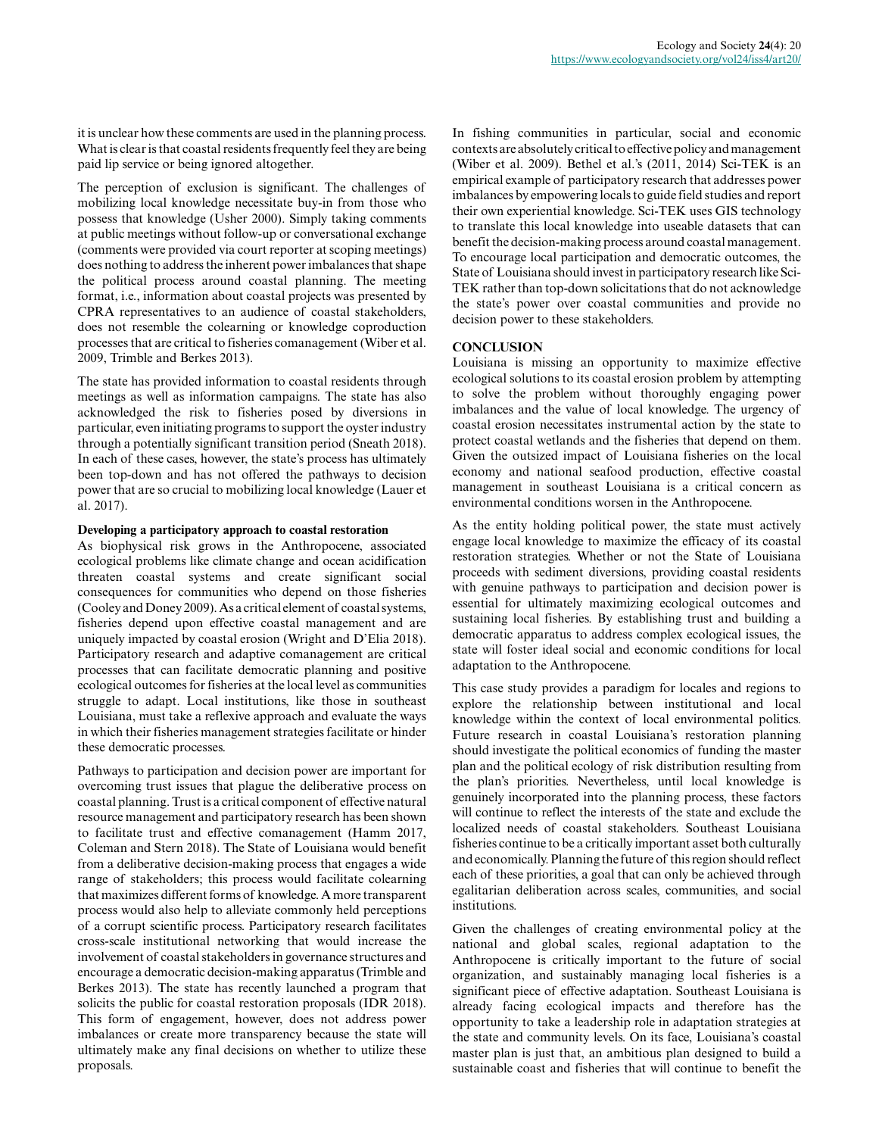it is unclear how these comments are used in the planning process. What is clear is that coastal residents frequently feel they are being paid lip service or being ignored altogether.

The perception of exclusion is significant. The challenges of mobilizing local knowledge necessitate buy-in from those who possess that knowledge (Usher 2000). Simply taking comments at public meetings without follow-up or conversational exchange (comments were provided via court reporter at scoping meetings) does nothing to address the inherent power imbalances that shape the political process around coastal planning. The meeting format, i.e., information about coastal projects was presented by CPRA representatives to an audience of coastal stakeholders, does not resemble the colearning or knowledge coproduction processes that are critical to fisheries comanagement (Wiber et al. 2009, Trimble and Berkes 2013).

The state has provided information to coastal residents through meetings as well as information campaigns. The state has also acknowledged the risk to fisheries posed by diversions in particular, even initiating programs to support the oyster industry through a potentially significant transition period (Sneath 2018). In each of these cases, however, the state's process has ultimately been top-down and has not offered the pathways to decision power that are so crucial to mobilizing local knowledge (Lauer et al. 2017).

# **Developing a participatory approach to coastal restoration**

As biophysical risk grows in the Anthropocene, associated ecological problems like climate change and ocean acidification threaten coastal systems and create significant social consequences for communities who depend on those fisheries (Cooley and Doney 2009). As a critical element of coastal systems, fisheries depend upon effective coastal management and are uniquely impacted by coastal erosion (Wright and D'Elia 2018). Participatory research and adaptive comanagement are critical processes that can facilitate democratic planning and positive ecological outcomes for fisheries at the local level as communities struggle to adapt. Local institutions, like those in southeast Louisiana, must take a reflexive approach and evaluate the ways in which their fisheries management strategies facilitate or hinder these democratic processes.

Pathways to participation and decision power are important for overcoming trust issues that plague the deliberative process on coastal planning. Trust is a critical component of effective natural resource management and participatory research has been shown to facilitate trust and effective comanagement (Hamm 2017, Coleman and Stern 2018). The State of Louisiana would benefit from a deliberative decision-making process that engages a wide range of stakeholders; this process would facilitate colearning that maximizes different forms of knowledge. A more transparent process would also help to alleviate commonly held perceptions of a corrupt scientific process. Participatory research facilitates cross-scale institutional networking that would increase the involvement of coastal stakeholders in governance structures and encourage a democratic decision-making apparatus (Trimble and Berkes 2013). The state has recently launched a program that solicits the public for coastal restoration proposals (IDR 2018). This form of engagement, however, does not address power imbalances or create more transparency because the state will ultimately make any final decisions on whether to utilize these proposals.

In fishing communities in particular, social and economic contexts are absolutely critical to effective policy and management (Wiber et al. 2009). Bethel et al.'s (2011, 2014) Sci-TEK is an empirical example of participatory research that addresses power imbalances by empowering locals to guide field studies and report their own experiential knowledge. Sci-TEK uses GIS technology to translate this local knowledge into useable datasets that can benefit the decision-making process around coastal management. To encourage local participation and democratic outcomes, the State of Louisiana should invest in participatory research like Sci-TEK rather than top-down solicitations that do not acknowledge the state's power over coastal communities and provide no decision power to these stakeholders.

#### **CONCLUSION**

Louisiana is missing an opportunity to maximize effective ecological solutions to its coastal erosion problem by attempting to solve the problem without thoroughly engaging power imbalances and the value of local knowledge. The urgency of coastal erosion necessitates instrumental action by the state to protect coastal wetlands and the fisheries that depend on them. Given the outsized impact of Louisiana fisheries on the local economy and national seafood production, effective coastal management in southeast Louisiana is a critical concern as environmental conditions worsen in the Anthropocene.

As the entity holding political power, the state must actively engage local knowledge to maximize the efficacy of its coastal restoration strategies. Whether or not the State of Louisiana proceeds with sediment diversions, providing coastal residents with genuine pathways to participation and decision power is essential for ultimately maximizing ecological outcomes and sustaining local fisheries. By establishing trust and building a democratic apparatus to address complex ecological issues, the state will foster ideal social and economic conditions for local adaptation to the Anthropocene.

This case study provides a paradigm for locales and regions to explore the relationship between institutional and local knowledge within the context of local environmental politics. Future research in coastal Louisiana's restoration planning should investigate the political economics of funding the master plan and the political ecology of risk distribution resulting from the plan's priorities. Nevertheless, until local knowledge is genuinely incorporated into the planning process, these factors will continue to reflect the interests of the state and exclude the localized needs of coastal stakeholders. Southeast Louisiana fisheries continue to be a critically important asset both culturally and economically. Planning the future of this region should reflect each of these priorities, a goal that can only be achieved through egalitarian deliberation across scales, communities, and social institutions.

Given the challenges of creating environmental policy at the national and global scales, regional adaptation to the Anthropocene is critically important to the future of social organization, and sustainably managing local fisheries is a significant piece of effective adaptation. Southeast Louisiana is already facing ecological impacts and therefore has the opportunity to take a leadership role in adaptation strategies at the state and community levels. On its face, Louisiana's coastal master plan is just that, an ambitious plan designed to build a sustainable coast and fisheries that will continue to benefit the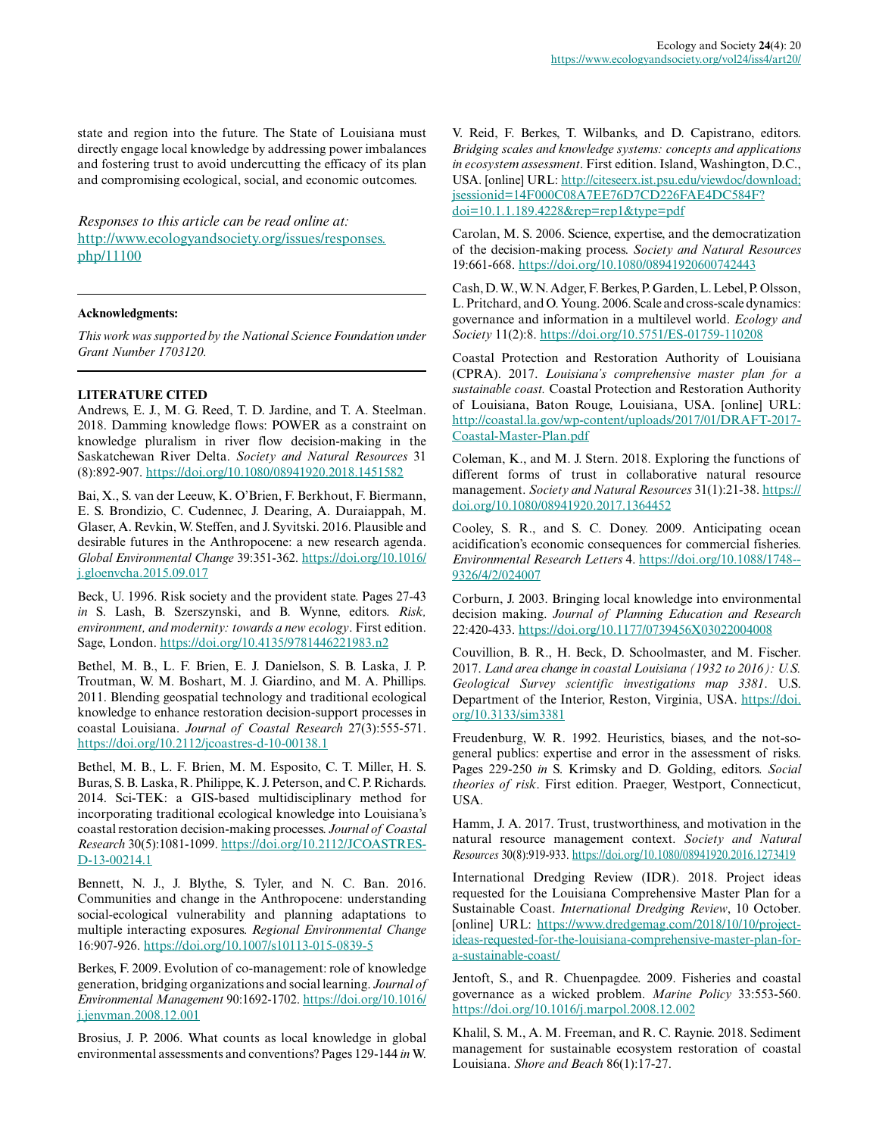state and region into the future. The State of Louisiana must directly engage local knowledge by addressing power imbalances and fostering trust to avoid undercutting the efficacy of its plan and compromising ecological, social, and economic outcomes.

*Responses to this article can be read online at:* [http://www.ecologyandsociety.org/issues/responses.](http://www.ecologyandsociety.org/issues/responses.php/11100) [php/11100](http://www.ecologyandsociety.org/issues/responses.php/11100)

#### **Acknowledgments:**

*This work was supported by the National Science Foundation under Grant Number 1703120.*

#### **LITERATURE CITED**

Andrews, E. J., M. G. Reed, T. D. Jardine, and T. A. Steelman. 2018. Damming knowledge flows: POWER as a constraint on knowledge pluralism in river flow decision-making in the Saskatchewan River Delta. *Society and Natural Resources* 31 (8):892-907. <https://doi.org/10.1080/08941920.2018.1451582>

Bai, X., S. van der Leeuw, K. O'Brien, F. Berkhout, F. Biermann, E. S. Brondizio, C. Cudennec, J. Dearing, A. Duraiappah, M. Glaser, A. Revkin, W. Steffen, and J. Syvitski. 2016. Plausible and desirable futures in the Anthropocene: a new research agenda. *Global Environmental Change* 39:351-362. [https://doi.org/10.1016/](https://doi.org/10.1016/j.gloenvcha.2015.09.017) [j.gloenvcha.2015.09.017](https://doi.org/10.1016/j.gloenvcha.2015.09.017) 

Beck, U. 1996. Risk society and the provident state. Pages 27-43 *in* S. Lash, B. Szerszynski, and B. Wynne, editors. *Risk, environment, and modernity: towards a new ecology*. First edition. Sage, London.<https://doi.org/10.4135/9781446221983.n2>

Bethel, M. B., L. F. Brien, E. J. Danielson, S. B. Laska, J. P. Troutman, W. M. Boshart, M. J. Giardino, and M. A. Phillips. 2011. Blending geospatial technology and traditional ecological knowledge to enhance restoration decision-support processes in coastal Louisiana. *Journal of Coastal Research* 27(3):555-571. <https://doi.org/10.2112/jcoastres-d-10-00138.1>

Bethel, M. B., L. F. Brien, M. M. Esposito, C. T. Miller, H. S. Buras, S. B. Laska, R. Philippe, K. J. Peterson, and C. P. Richards. 2014. Sci-TEK: a GIS-based multidisciplinary method for incorporating traditional ecological knowledge into Louisiana's coastal restoration decision-making processes. *Journal of Coastal Research* 30(5):1081-1099. [https://doi.org/10.2112/JCOASTRES-](https://doi.org/10.2112/JCOASTRES-D-13-00214.1)[D-13-00214.1](https://doi.org/10.2112/JCOASTRES-D-13-00214.1) 

Bennett, N. J., J. Blythe, S. Tyler, and N. C. Ban. 2016. Communities and change in the Anthropocene: understanding social-ecological vulnerability and planning adaptations to multiple interacting exposures. *Regional Environmental Change* 16:907-926.<https://doi.org/10.1007/s10113-015-0839-5>

Berkes, F. 2009. Evolution of co-management: role of knowledge generation, bridging organizations and social learning. *Journal of Environmental Management* 90:1692-1702. [https://doi.org/10.1016/](https://doi.org/10.1016/j.jenvman.2008.12.001) [j.jenvman.2008.12.001](https://doi.org/10.1016/j.jenvman.2008.12.001)

Brosius, J. P. 2006. What counts as local knowledge in global environmental assessments and conventions? Pages 129-144 *in* W. V. Reid, F. Berkes, T. Wilbanks, and D. Capistrano, editors. *Bridging scales and knowledge systems: concepts and applications in ecosystem assessment*. First edition. Island, Washington, D.C., USA. [online] URL: [http://citeseerx.ist.psu.edu/viewdoc/download;](http://citeseerx.ist.psu.edu/viewdoc/download;jsessionid=14F000C08A7EE76D7CD226FAE4DC584F?doi=10.1.1.189.4228&rep=rep1&type=pdf) [jsessionid=14F000C08A7EE76D7CD226FAE4DC584F?](http://citeseerx.ist.psu.edu/viewdoc/download;jsessionid=14F000C08A7EE76D7CD226FAE4DC584F?doi=10.1.1.189.4228&rep=rep1&type=pdf) [doi=10.1.1.189.4228&rep=rep1&type=pdf](http://citeseerx.ist.psu.edu/viewdoc/download;jsessionid=14F000C08A7EE76D7CD226FAE4DC584F?doi=10.1.1.189.4228&rep=rep1&type=pdf)

Carolan, M. S. 2006. Science, expertise, and the democratization of the decision-making process. *Society and Natural Resources* 19:661-668.<https://doi.org/10.1080/08941920600742443>

Cash, D. W., W. N. Adger, F. Berkes, P. Garden, L. Lebel, P. Olsson, L. Pritchard, and O. Young. 2006. Scale and cross-scale dynamics: governance and information in a multilevel world. *Ecology and Society* 11(2):8.<https://doi.org/10.5751/ES-01759-110208>

Coastal Protection and Restoration Authority of Louisiana (CPRA). 2017. *Louisiana's comprehensive master plan for a sustainable coast.* Coastal Protection and Restoration Authority of Louisiana, Baton Rouge, Louisiana, USA. [online] URL: [http://coastal.la.gov/wp-content/uploads/2017/01/DRAFT-2017-](http://coastal.la.gov/wp-content/uploads/2017/01/DRAFT-2017-Coastal-Master-Plan.pdf) [Coastal-Master-Plan.pdf](http://coastal.la.gov/wp-content/uploads/2017/01/DRAFT-2017-Coastal-Master-Plan.pdf)

Coleman, K., and M. J. Stern. 2018. Exploring the functions of different forms of trust in collaborative natural resource management. *Society and Natural Resources* 31(1):21-38. [https://](https://doi.org/10.1080/08941920.2017.1364452) [doi.org/10.1080/08941920.2017.1364452](https://doi.org/10.1080/08941920.2017.1364452)

Cooley, S. R., and S. C. Doney. 2009. Anticipating ocean acidification's economic consequences for commercial fisheries. *Environmental Research Letters* 4. [https://doi.org/10.1088/1748-](https://doi.org/10.1088/1748-9326/4/2/024007) [9326/4/2/024007](https://doi.org/10.1088/1748-9326/4/2/024007) 

Corburn, J. 2003. Bringing local knowledge into environmental decision making. *Journal of Planning Education and Research* 22:420-433.<https://doi.org/10.1177/0739456X03022004008>

Couvillion, B. R., H. Beck, D. Schoolmaster, and M. Fischer. 2017. *Land area change in coastal Louisiana (1932 to 2016): U.S. Geological Survey scientific investigations map 3381*. U.S. Department of the Interior, Reston, Virginia, USA. [https://doi.](https://doi.org/10.3133/sim3381) [org/10.3133/sim3381](https://doi.org/10.3133/sim3381)

Freudenburg, W. R. 1992. Heuristics, biases, and the not-sogeneral publics: expertise and error in the assessment of risks. Pages 229-250 *in* S. Krimsky and D. Golding, editors. *Social theories of risk*. First edition. Praeger, Westport, Connecticut, USA.

Hamm, J. A. 2017. Trust, trustworthiness, and motivation in the natural resource management context. *Society and Natural Resources* 30(8):919-933.<https://doi.org/10.1080/08941920.2016.1273419>

International Dredging Review (IDR). 2018. Project ideas requested for the Louisiana Comprehensive Master Plan for a Sustainable Coast. *International Dredging Review*, 10 October. [online] URL: [https://www.dredgemag.com/2018/10/10/project](https://www.dredgemag.com/2018/10/10/project-ideas-requested-for-the-louisiana-comprehensive-master-plan-for-a-sustainable-coast/)[ideas-requested-for-the-louisiana-comprehensive-master-plan-for](https://www.dredgemag.com/2018/10/10/project-ideas-requested-for-the-louisiana-comprehensive-master-plan-for-a-sustainable-coast/)[a-sustainable-coast/](https://www.dredgemag.com/2018/10/10/project-ideas-requested-for-the-louisiana-comprehensive-master-plan-for-a-sustainable-coast/)

Jentoft, S., and R. Chuenpagdee. 2009. Fisheries and coastal governance as a wicked problem. *Marine Policy* 33:553-560. <https://doi.org/10.1016/j.marpol.2008.12.002>

Khalil, S. M., A. M. Freeman, and R. C. Raynie. 2018. Sediment management for sustainable ecosystem restoration of coastal Louisiana. *Shore and Beach* 86(1):17-27.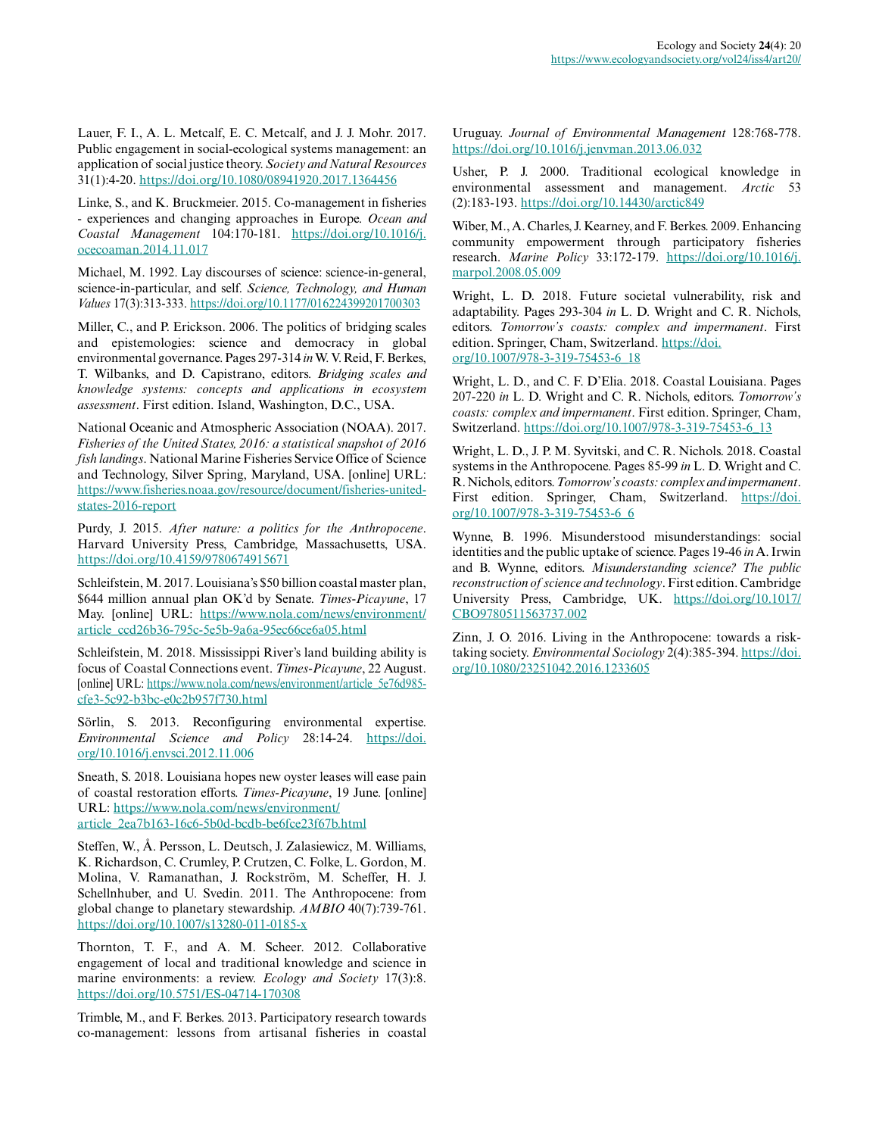Lauer, F. I., A. L. Metcalf, E. C. Metcalf, and J. J. Mohr. 2017. Public engagement in social-ecological systems management: an application of social justice theory. *Society and Natural Resources* 31(1):4-20.<https://doi.org/10.1080/08941920.2017.1364456>

Linke, S., and K. Bruckmeier. 2015. Co-management in fisheries - experiences and changing approaches in Europe. *Ocean and Coastal Management* 104:170-181. [https://doi.org/10.1016/j.](https://doi.org/10.1016/j.ocecoaman.2014.11.017) [ocecoaman.2014.11.017](https://doi.org/10.1016/j.ocecoaman.2014.11.017) 

Michael, M. 1992. Lay discourses of science: science-in-general, science-in-particular, and self. *Science, Technology, and Human Values* 17(3):313-333.<https://doi.org/10.1177/016224399201700303>

Miller, C., and P. Erickson. 2006. The politics of bridging scales and epistemologies: science and democracy in global environmental governance. Pages 297-314 *in* W. V. Reid, F. Berkes, T. Wilbanks, and D. Capistrano, editors. *Bridging scales and knowledge systems: concepts and applications in ecosystem assessment*. First edition. Island, Washington, D.C., USA.

National Oceanic and Atmospheric Association (NOAA). 2017. *Fisheries of the United States, 2016: a statistical snapshot of 2016 fish landings*. National Marine Fisheries Service Office of Science and Technology, Silver Spring, Maryland, USA. [online] URL: [https://www.fisheries.noaa.gov/resource/document/fisheries-united](https://www.fisheries.noaa.gov/resource/document/fisheries-united-states-2016-report)[states-2016-report](https://www.fisheries.noaa.gov/resource/document/fisheries-united-states-2016-report) 

Purdy, J. 2015. *After nature: a politics for the Anthropocene*. Harvard University Press, Cambridge, Massachusetts, USA. <https://doi.org/10.4159/9780674915671>

Schleifstein, M. 2017. Louisiana's \$50 billion coastal master plan, \$644 million annual plan OK'd by Senate. *Times-Picayune*, 17 May. [online] URL: [https://www.nola.com/news/environment/](https://www.nola.com/news/environment/article_ccd26b36-795c-5e5b-9a6a-95ec66ce6a05.html) [article\\_ccd26b36-795c-5e5b-9a6a-95ec66ce6a05.html](https://www.nola.com/news/environment/article_ccd26b36-795c-5e5b-9a6a-95ec66ce6a05.html)

Schleifstein, M. 2018. Mississippi River's land building ability is focus of Coastal Connections event. *Times-Picayune*, 22 August. [online] URL: [https://www.nola.com/news/environment/article\\_5e76d985](https://www.nola.com/news/environment/article_5e76d985-cfe3-5c92-b3bc-e0c2b957f730.html) [cfe3-5c92-b3bc-e0c2b957f730.html](https://www.nola.com/news/environment/article_5e76d985-cfe3-5c92-b3bc-e0c2b957f730.html)

Sörlin, S. 2013. Reconfiguring environmental expertise. *Environmental Science and Policy* 28:14-24. [https://doi.](https://doi.org/10.1016/j.envsci.2012.11.006) [org/10.1016/j.envsci.2012.11.006](https://doi.org/10.1016/j.envsci.2012.11.006) 

Sneath, S. 2018. Louisiana hopes new oyster leases will ease pain of coastal restoration efforts. *Times-Picayune*, 19 June. [online] URL: [https://www.nola.com/news/environment/](https://www.nola.com/news/environment/article_2ea7b163-16c6-5b0d-bcdb-be6fce23f67b.html) [article\\_2ea7b163-16c6-5b0d-bcdb-be6fce23f67b.html](https://www.nola.com/news/environment/article_2ea7b163-16c6-5b0d-bcdb-be6fce23f67b.html)

Steffen, W., Å. Persson, L. Deutsch, J. Zalasiewicz, M. Williams, K. Richardson, C. Crumley, P. Crutzen, C. Folke, L. Gordon, M. Molina, V. Ramanathan, J. Rockström, M. Scheffer, H. J. Schellnhuber, and U. Svedin. 2011. The Anthropocene: from global change to planetary stewardship. *AMBIO* 40(7):739-761. <https://doi.org/10.1007/s13280-011-0185-x>

Thornton, T. F., and A. M. Scheer. 2012. Collaborative engagement of local and traditional knowledge and science in marine environments: a review. *Ecology and Society* 17(3):8. <https://doi.org/10.5751/ES-04714-170308>

Trimble, M., and F. Berkes. 2013. Participatory research towards co-management: lessons from artisanal fisheries in coastal

Uruguay. *Journal of Environmental Management* 128:768-778. <https://doi.org/10.1016/j.jenvman.2013.06.032>

Usher, P. J. 2000. Traditional ecological knowledge in environmental assessment and management. *Arctic* 53 (2):183-193. <https://doi.org/10.14430/arctic849>

Wiber, M., A. Charles, J. Kearney, and F. Berkes. 2009. Enhancing community empowerment through participatory fisheries research. *Marine Policy* 33:172-179. [https://doi.org/10.1016/j.](https://doi.org/10.1016/j.marpol.2008.05.009) [marpol.2008.05.009](https://doi.org/10.1016/j.marpol.2008.05.009) 

Wright, L. D. 2018. Future societal vulnerability, risk and adaptability. Pages 293-304 *in* L. D. Wright and C. R. Nichols, editors. *Tomorrow's coasts: complex and impermanent*. First edition. Springer, Cham, Switzerland. [https://doi.](https://doi.org/10.1007/978-3-319-75453-6_18) [org/10.1007/978-3-319-75453-6\\_18](https://doi.org/10.1007/978-3-319-75453-6_18)

Wright, L. D., and C. F. D'Elia. 2018. Coastal Louisiana. Pages 207-220 *in* L. D. Wright and C. R. Nichols, editors. *Tomorrow's coasts: complex and impermanent*. First edition. Springer, Cham, Switzerland. [https://doi.org/10.1007/978-3-319-75453-6\\_13](https://doi.org/10.1007/978-3-319-75453-6_13) 

Wright, L. D., J. P. M. Syvitski, and C. R. Nichols. 2018. Coastal systems in the Anthropocene. Pages 85-99 *in* L. D. Wright and C. R. Nichols, editors. *Tomorrow's coasts: complex and impermanent*. First edition. Springer, Cham, Switzerland. [https://doi.](https://doi.org/10.1007/978-3-319-75453-6_6) [org/10.1007/978-3-319-75453-6\\_6](https://doi.org/10.1007/978-3-319-75453-6_6) 

Wynne, B. 1996. Misunderstood misunderstandings: social identities and the public uptake of science. Pages 19-46 *in* A. Irwin and B. Wynne, editors. *Misunderstanding science? The public reconstruction of science and technology*. First edition. Cambridge University Press, Cambridge, UK. [https://doi.org/10.1017/](https://doi.org/10.1017/CBO9780511563737.002) [CBO9780511563737.002](https://doi.org/10.1017/CBO9780511563737.002) 

Zinn, J. O. 2016. Living in the Anthropocene: towards a risktaking society. *Environmental Sociology* 2(4):385-394. [https://doi.](https://doi.org/10.1080/23251042.2016.1233605) [org/10.1080/23251042.2016.1233605](https://doi.org/10.1080/23251042.2016.1233605)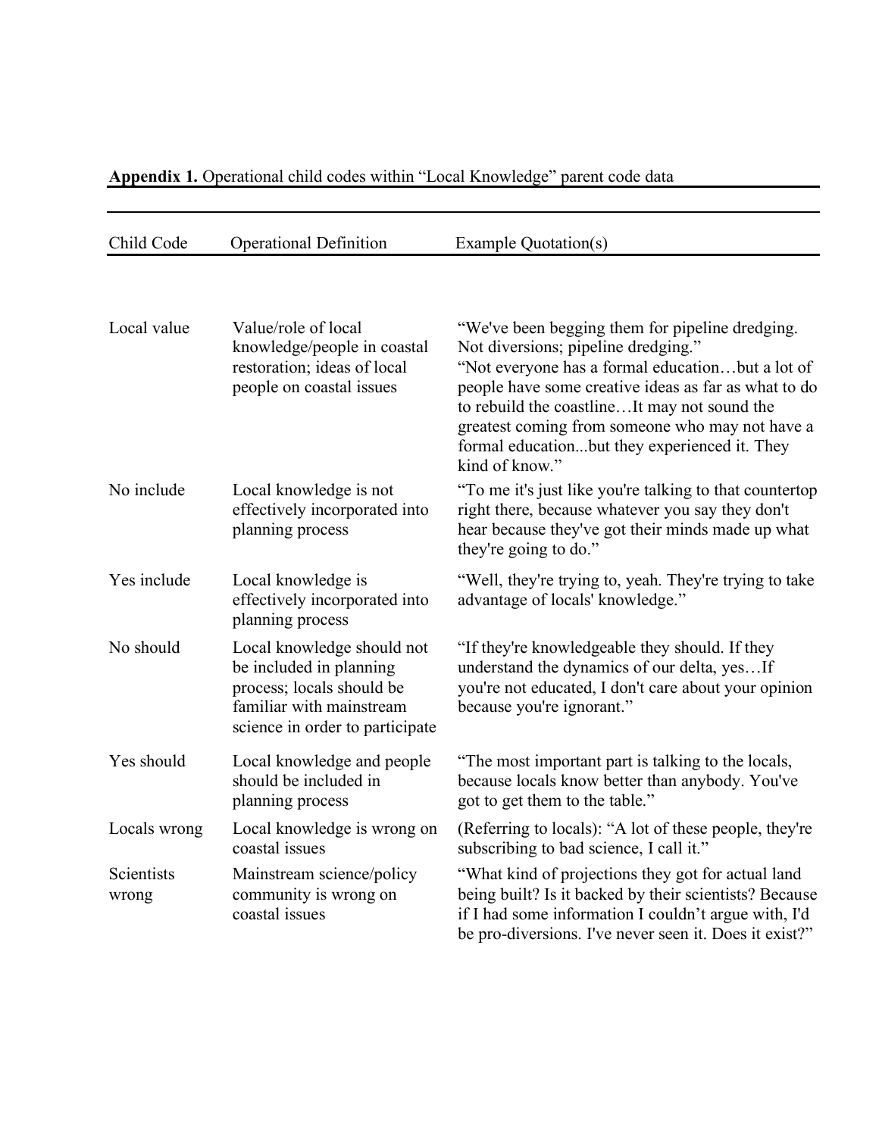| Child Code          | <b>Operational Definition</b>                                                                                                                     | Example Quotation(s)                                                                                                                                                                                                                                                                                                                                                     |
|---------------------|---------------------------------------------------------------------------------------------------------------------------------------------------|--------------------------------------------------------------------------------------------------------------------------------------------------------------------------------------------------------------------------------------------------------------------------------------------------------------------------------------------------------------------------|
|                     |                                                                                                                                                   |                                                                                                                                                                                                                                                                                                                                                                          |
| Local value         | Value/role of local<br>knowledge/people in coastal<br>restoration; ideas of local<br>people on coastal issues                                     | "We've been begging them for pipeline dredging.<br>Not diversions; pipeline dredging."<br>"Not everyone has a formal educationbut a lot of<br>people have some creative ideas as far as what to do<br>to rebuild the coastlineIt may not sound the<br>greatest coming from someone who may not have a<br>formal educationbut they experienced it. They<br>kind of know." |
| No include          | Local knowledge is not<br>effectively incorporated into<br>planning process                                                                       | "To me it's just like you're talking to that countertop<br>right there, because whatever you say they don't<br>hear because they've got their minds made up what<br>they're going to do."                                                                                                                                                                                |
| Yes include         | Local knowledge is<br>effectively incorporated into<br>planning process                                                                           | "Well, they're trying to, yeah. They're trying to take<br>advantage of locals' knowledge."                                                                                                                                                                                                                                                                               |
| No should           | Local knowledge should not<br>be included in planning<br>process; locals should be<br>familiar with mainstream<br>science in order to participate | "If they're knowledgeable they should. If they<br>understand the dynamics of our delta, yesIf<br>you're not educated, I don't care about your opinion<br>because you're ignorant."                                                                                                                                                                                       |
| Yes should          | Local knowledge and people<br>should be included in<br>planning process                                                                           | "The most important part is talking to the locals,<br>because locals know better than anybody. You've<br>got to get them to the table."                                                                                                                                                                                                                                  |
| Locals wrong        | Local knowledge is wrong on<br>coastal issues                                                                                                     | (Referring to locals): "A lot of these people, they're<br>subscribing to bad science, I call it."                                                                                                                                                                                                                                                                        |
| Scientists<br>wrong | Mainstream science/policy<br>community is wrong on<br>coastal issues                                                                              | "What kind of projections they got for actual land<br>being built? Is it backed by their scientists? Because<br>if I had some information I couldn't argue with, I'd<br>be pro-diversions. I've never seen it. Does it exist?"                                                                                                                                           |